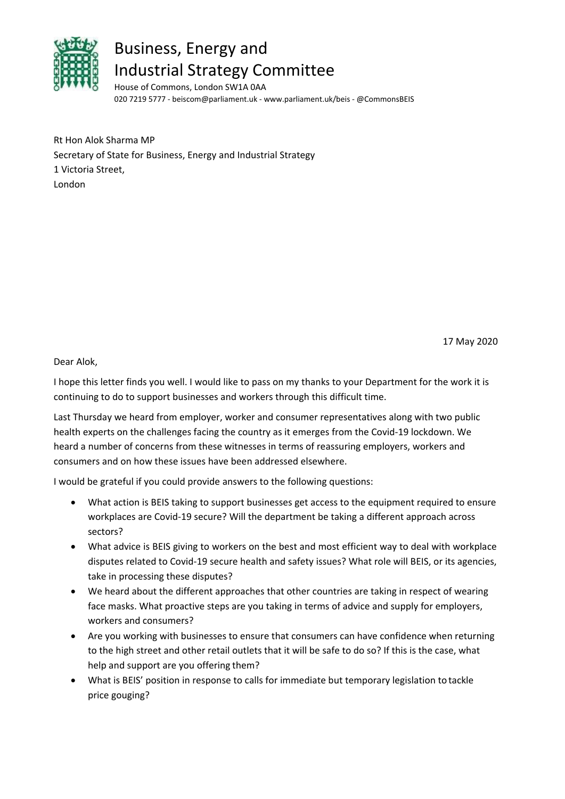

## Business, Energy and Industrial Strategy Committee

House of Commons, London SW1A 0AA 020 7219 5777 ‐ beiscom@parliament.uk ‐ www.parliament.uk/beis ‐ @CommonsBEIS

Rt Hon Alok Sharma MP Secretary of State for Business, Energy and Industrial Strategy 1 Victoria Street, London

17 May 2020

## Dear Alok,

I hope this letter finds you well. I would like to pass on my thanks to your Department for the work it is continuing to do to support businesses and workers through this difficult time.

Last Thursday we heard from employer, worker and consumer representatives along with two public health experts on the challenges facing the country as it emerges from the Covid-19 lockdown. We heard a number of concerns from these witnesses in terms of reassuring employers, workers and consumers and on how these issues have been addressed elsewhere.

I would be grateful if you could provide answers to the following questions:

- What action is BEIS taking to support businesses get access to the equipment required to ensure workplaces are Covid‐19 secure? Will the department be taking a different approach across sectors?
- What advice is BEIS giving to workers on the best and most efficient way to deal with workplace disputes related to Covid‐19 secure health and safety issues? What role will BEIS, or its agencies, take in processing these disputes?
- We heard about the different approaches that other countries are taking in respect of wearing face masks. What proactive steps are you taking in terms of advice and supply for employers, workers and consumers?
- Are you working with businesses to ensure that consumers can have confidence when returning to the high street and other retail outlets that it will be safe to do so? If this is the case, what help and support are you offering them?
- What is BEIS' position in response to calls for immediate but temporary legislation to tackle price gouging?